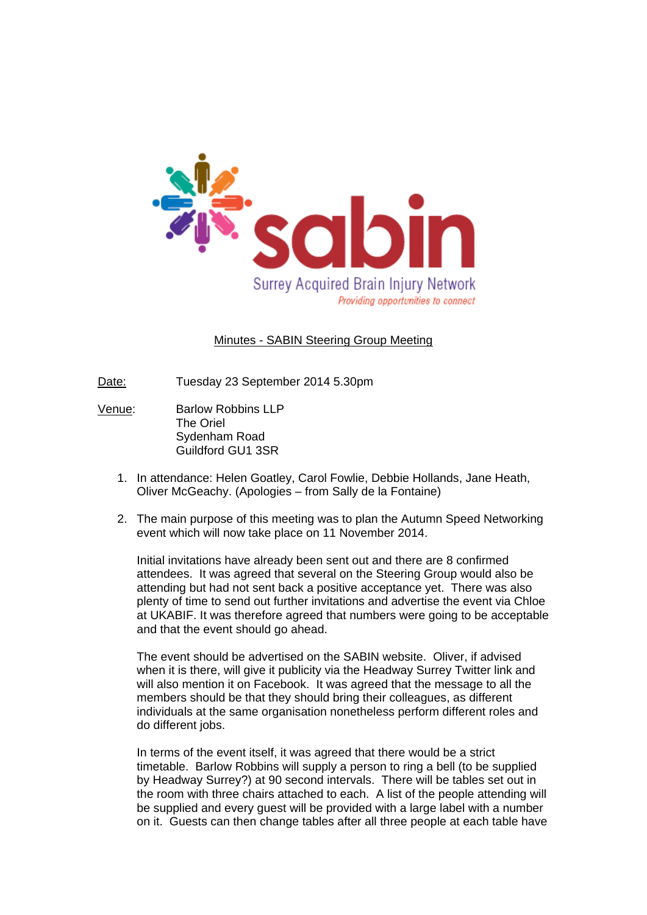

## Minutes - SABIN Steering Group Meeting

Date: Tuesday 23 September 2014 5.30pm

- Venue: Barlow Robbins LLP The Oriel Sydenham Road Guildford GU1 3SR
	- 1. In attendance: Helen Goatley, Carol Fowlie, Debbie Hollands, Jane Heath, Oliver McGeachy. (Apologies – from Sally de la Fontaine)
	- 2. The main purpose of this meeting was to plan the Autumn Speed Networking event which will now take place on 11 November 2014.

Initial invitations have already been sent out and there are 8 confirmed attendees. It was agreed that several on the Steering Group would also be attending but had not sent back a positive acceptance yet. There was also plenty of time to send out further invitations and advertise the event via Chloe at UKABIF. It was therefore agreed that numbers were going to be acceptable and that the event should go ahead.

The event should be advertised on the SABIN website. Oliver, if advised when it is there, will give it publicity via the Headway Surrey Twitter link and will also mention it on Facebook. It was agreed that the message to all the members should be that they should bring their colleagues, as different individuals at the same organisation nonetheless perform different roles and do different jobs.

In terms of the event itself, it was agreed that there would be a strict timetable. Barlow Robbins will supply a person to ring a bell (to be supplied by Headway Surrey?) at 90 second intervals. There will be tables set out in the room with three chairs attached to each. A list of the people attending will be supplied and every guest will be provided with a large label with a number on it. Guests can then change tables after all three people at each table have